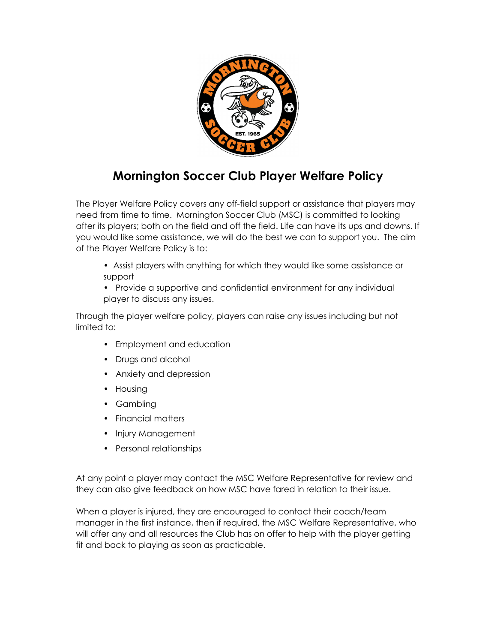

## **Mornington Soccer Club Player Welfare Policy**

The Player Welfare Policy covers any off-field support or assistance that players may need from time to time. Mornington Soccer Club (MSC) is committed to looking after its players; both on the field and off the field. Life can have its ups and downs. If you would like some assistance, we will do the best we can to support you. The aim of the Player Welfare Policy is to:

- Assist players with anything for which they would like some assistance or support
- Provide a supportive and confidential environment for any individual player to discuss any issues.

Through the player welfare policy, players can raise any issues including but not limited to:

- Employment and education
- Drugs and alcohol
- Anxiety and depression
- Housing
- Gambling
- Financial matters
- Injury Management
- Personal relationships

At any point a player may contact the MSC Welfare Representative for review and they can also give feedback on how MSC have fared in relation to their issue.

When a player is injured, they are encouraged to contact their coach/team manager in the first instance, then if required, the MSC Welfare Representative, who will offer any and all resources the Club has on offer to help with the player getting fit and back to playing as soon as practicable.